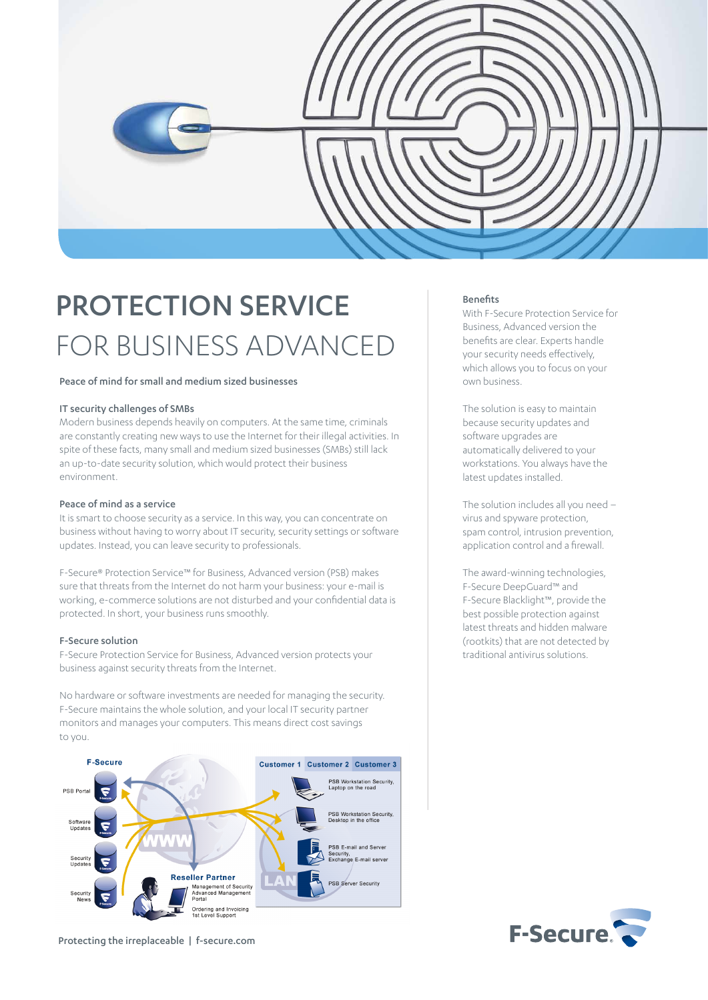

# PROTECTION SERVICE FOR BUSINESS ADVANCED

## Peace of mind for small and medium sized businesses

# IT security challenges of SMBs

Modern business depends heavily on computers. At the same time, criminals are constantly creating new ways to use the Internet for their illegal activities. In spite of these facts, many small and medium sized businesses (SMBs) still lack an up-to-date security solution, which would protect their business environment.

## Peace of mind as a service

It is smart to choose security as a service. In this way, you can concentrate on business without having to worry about IT security, security settings or software updates. Instead, you can leave security to professionals.

F-Secure® Protection Service™ for Business, Advanced version (PSB) makes sure that threats from the Internet do not harm your business: your e-mail is working, e-commerce solutions are not disturbed and your confidential data is protected. In short, your business runs smoothly.

#### F-Secure solution

F-Secure Protection Service for Business, Advanced version protects your business against security threats from the Internet.

No hardware or software investments are needed for managing the security. F-Secure maintains the whole solution, and your local IT security partner monitors and manages your computers. This means direct cost savings to you.



Protecting the irreplaceable | f-secure.com

### Benefits

With F-Secure Protection Service for Business, Advanced version the benefits are clear. Experts handle your security needs effectively, which allows you to focus on your own business.

The solution is easy to maintain because security updates and software upgrades are automatically delivered to your workstations. You always have the latest updates installed.

The solution includes all you need – virus and spyware protection, spam control, intrusion prevention, application control and a firewall.

The award-winning technologies, F-Secure DeepGuard™ and F-Secure Blacklight™, provide the best possible protection against latest threats and hidden malware (rootkits) that are not detected by traditional antivirus solutions.